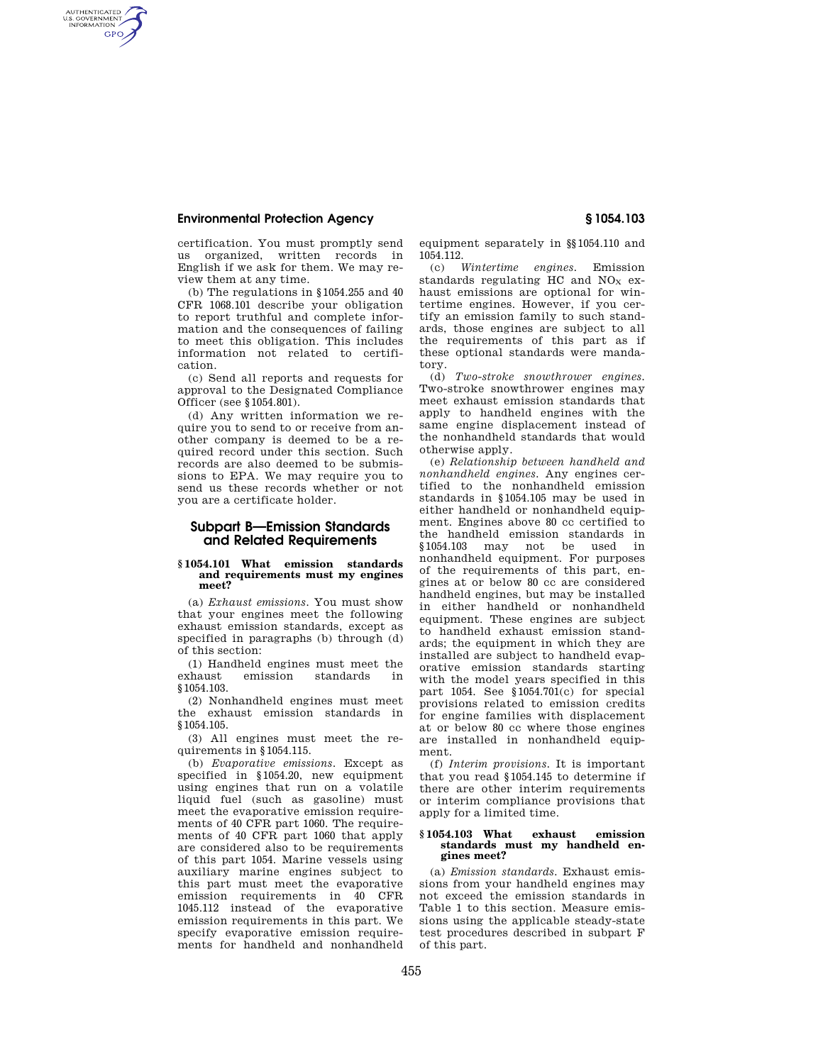# **Environmental Protection Agency § 1054.103**

AUTHENTICATED<br>U.S. GOVERNMENT<br>INFORMATION **GPO** 

> certification. You must promptly send us organized, written records in English if we ask for them. We may review them at any time.

> (b) The regulations in §1054.255 and 40 CFR 1068.101 describe your obligation to report truthful and complete information and the consequences of failing to meet this obligation. This includes information not related to certification.

> (c) Send all reports and requests for approval to the Designated Compliance Officer (see §1054.801).

> (d) Any written information we require you to send to or receive from another company is deemed to be a required record under this section. Such records are also deemed to be submissions to EPA. We may require you to send us these records whether or not you are a certificate holder.

# **Subpart B—Emission Standards and Related Requirements**

## **§ 1054.101 What emission standards and requirements must my engines meet?**

(a) *Exhaust emissions.* You must show that your engines meet the following exhaust emission standards, except as specified in paragraphs (b) through (d) of this section:

(1) Handheld engines must meet the exhaust emission standards in §1054.103.

(2) Nonhandheld engines must meet the exhaust emission standards in §1054.105.

(3) All engines must meet the requirements in §1054.115.

(b) *Evaporative emissions.* Except as specified in §1054.20, new equipment using engines that run on a volatile liquid fuel (such as gasoline) must meet the evaporative emission requirements of 40 CFR part 1060. The requirements of 40 CFR part 1060 that apply are considered also to be requirements of this part 1054. Marine vessels using auxiliary marine engines subject to this part must meet the evaporative emission requirements in 40 CFR 1045.112 instead of the evaporative emission requirements in this part. We specify evaporative emission requirements for handheld and nonhandheld

equipment separately in §§1054.110 and 1054.112.

(c) *Wintertime engines.* Emission standards regulating HC and  $NO<sub>X</sub>$  exhaust emissions are optional for wintertime engines. However, if you certify an emission family to such standards, those engines are subject to all the requirements of this part as if these optional standards were mandatory.

(d) *Two-stroke snowthrower engines.*  Two-stroke snowthrower engines may meet exhaust emission standards that apply to handheld engines with the same engine displacement instead of the nonhandheld standards that would otherwise apply.

(e) *Relationship between handheld and nonhandheld engines.* Any engines certified to the nonhandheld emission standards in §1054.105 may be used in either handheld or nonhandheld equipment. Engines above 80 cc certified to the handheld emission standards in<br>\$1054.103 may not be used in  $$1054.103$  may not be used nonhandheld equipment. For purposes of the requirements of this part, engines at or below 80 cc are considered handheld engines, but may be installed in either handheld or nonhandheld equipment. These engines are subject to handheld exhaust emission standards; the equipment in which they are installed are subject to handheld evaporative emission standards starting with the model years specified in this part 1054. See §1054.701(c) for special provisions related to emission credits for engine families with displacement at or below 80 cc where those engines are installed in nonhandheld equipment.

(f) *Interim provisions.* It is important that you read §1054.145 to determine if there are other interim requirements or interim compliance provisions that apply for a limited time.

### **§ 1054.103 What exhaust emission standards must my handheld engines meet?**

(a) *Emission standards.* Exhaust emissions from your handheld engines may not exceed the emission standards in Table 1 to this section. Measure emissions using the applicable steady-state test procedures described in subpart F of this part.